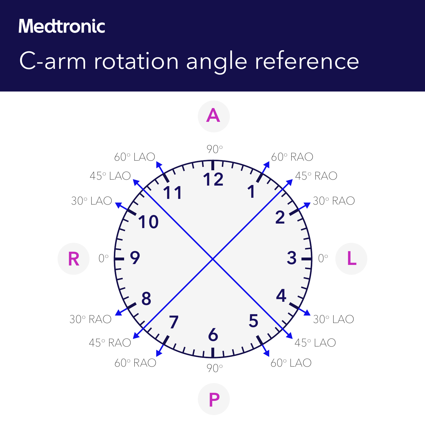## **Medtronic**

# C-arm rotation angle reference